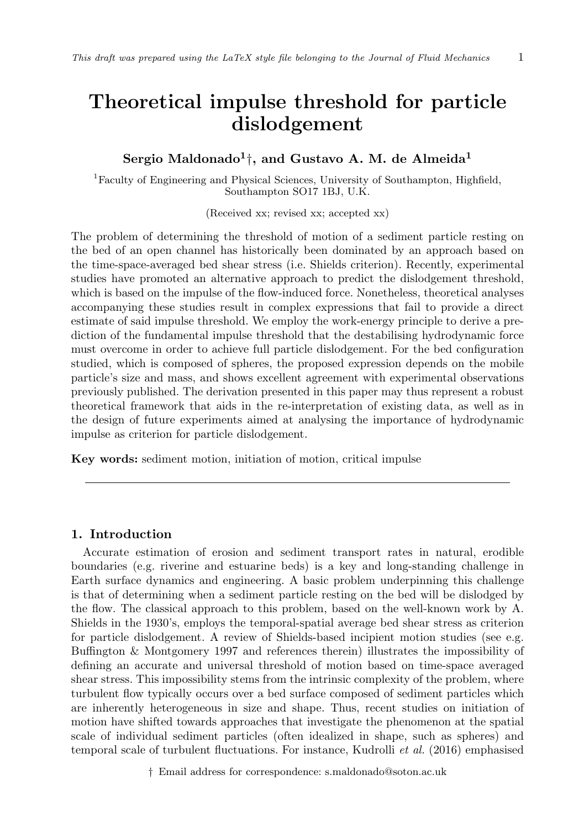# Theoretical impulse threshold for particle dislodgement

## Sergio Maldonado $^1\natural$ , and Gustavo A. M. de Almeida $^1$

<sup>1</sup>Faculty of Engineering and Physical Sciences, University of Southampton, Highfield, Southampton SO17 1BJ, U.K.

(Received xx; revised xx; accepted xx)

The problem of determining the threshold of motion of a sediment particle resting on the bed of an open channel has historically been dominated by an approach based on the time-space-averaged bed shear stress (i.e. Shields criterion). Recently, experimental studies have promoted an alternative approach to predict the dislodgement threshold, which is based on the impulse of the flow-induced force. Nonetheless, theoretical analyses accompanying these studies result in complex expressions that fail to provide a direct estimate of said impulse threshold. We employ the work-energy principle to derive a prediction of the fundamental impulse threshold that the destabilising hydrodynamic force must overcome in order to achieve full particle dislodgement. For the bed configuration studied, which is composed of spheres, the proposed expression depends on the mobile particle's size and mass, and shows excellent agreement with experimental observations previously published. The derivation presented in this paper may thus represent a robust theoretical framework that aids in the re-interpretation of existing data, as well as in the design of future experiments aimed at analysing the importance of hydrodynamic impulse as criterion for particle dislodgement.

Key words: sediment motion, initiation of motion, critical impulse

## 1. Introduction

Accurate estimation of erosion and sediment transport rates in natural, erodible boundaries (e.g. riverine and estuarine beds) is a key and long-standing challenge in Earth surface dynamics and engineering. A basic problem underpinning this challenge is that of determining when a sediment particle resting on the bed will be dislodged by the flow. The classical approach to this problem, based on the well-known work by A. Shields in the 1930's, employs the temporal-spatial average bed shear stress as criterion for particle dislodgement. A review of Shields-based incipient motion studies (see e.g. Buffington & Montgomery 1997 and references therein) illustrates the impossibility of defining an accurate and universal threshold of motion based on time-space averaged shear stress. This impossibility stems from the intrinsic complexity of the problem, where turbulent flow typically occurs over a bed surface composed of sediment particles which are inherently heterogeneous in size and shape. Thus, recent studies on initiation of motion have shifted towards approaches that investigate the phenomenon at the spatial scale of individual sediment particles (often idealized in shape, such as spheres) and temporal scale of turbulent fluctuations. For instance, Kudrolli et al. (2016) emphasised

† Email address for correspondence: s.maldonado@soton.ac.uk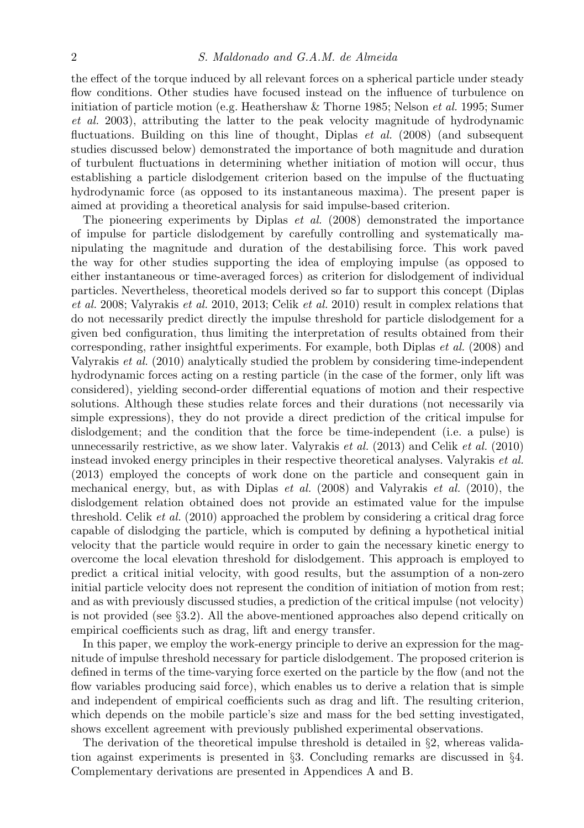the effect of the torque induced by all relevant forces on a spherical particle under steady flow conditions. Other studies have focused instead on the influence of turbulence on initiation of particle motion (e.g. Heathershaw & Thorne 1985; Nelson et al. 1995; Sumer et al. 2003), attributing the latter to the peak velocity magnitude of hydrodynamic fluctuations. Building on this line of thought, Diplas et al. (2008) (and subsequent studies discussed below) demonstrated the importance of both magnitude and duration of turbulent fluctuations in determining whether initiation of motion will occur, thus establishing a particle dislodgement criterion based on the impulse of the fluctuating hydrodynamic force (as opposed to its instantaneous maxima). The present paper is aimed at providing a theoretical analysis for said impulse-based criterion.

The pioneering experiments by Diplas et al. (2008) demonstrated the importance of impulse for particle dislodgement by carefully controlling and systematically manipulating the magnitude and duration of the destabilising force. This work paved the way for other studies supporting the idea of employing impulse (as opposed to either instantaneous or time-averaged forces) as criterion for dislodgement of individual particles. Nevertheless, theoretical models derived so far to support this concept (Diplas et al. 2008; Valyrakis et al. 2010, 2013; Celik et al. 2010) result in complex relations that do not necessarily predict directly the impulse threshold for particle dislodgement for a given bed configuration, thus limiting the interpretation of results obtained from their corresponding, rather insightful experiments. For example, both Diplas et al. (2008) and Valyrakis et al. (2010) analytically studied the problem by considering time-independent hydrodynamic forces acting on a resting particle (in the case of the former, only lift was considered), yielding second-order differential equations of motion and their respective solutions. Although these studies relate forces and their durations (not necessarily via simple expressions), they do not provide a direct prediction of the critical impulse for dislodgement; and the condition that the force be time-independent (i.e. a pulse) is unnecessarily restrictive, as we show later. Valyrakis et al. (2013) and Celik et al. (2010) instead invoked energy principles in their respective theoretical analyses. Valyrakis et al. (2013) employed the concepts of work done on the particle and consequent gain in mechanical energy, but, as with Diplas et al. (2008) and Valyrakis et al. (2010), the dislodgement relation obtained does not provide an estimated value for the impulse threshold. Celik et al. (2010) approached the problem by considering a critical drag force capable of dislodging the particle, which is computed by defining a hypothetical initial velocity that the particle would require in order to gain the necessary kinetic energy to overcome the local elevation threshold for dislodgement. This approach is employed to predict a critical initial velocity, with good results, but the assumption of a non-zero initial particle velocity does not represent the condition of initiation of motion from rest; and as with previously discussed studies, a prediction of the critical impulse (not velocity) is not provided (see §3.2). All the above-mentioned approaches also depend critically on empirical coefficients such as drag, lift and energy transfer.

In this paper, we employ the work-energy principle to derive an expression for the magnitude of impulse threshold necessary for particle dislodgement. The proposed criterion is defined in terms of the time-varying force exerted on the particle by the flow (and not the flow variables producing said force), which enables us to derive a relation that is simple and independent of empirical coefficients such as drag and lift. The resulting criterion, which depends on the mobile particle's size and mass for the bed setting investigated, shows excellent agreement with previously published experimental observations.

The derivation of the theoretical impulse threshold is detailed in §2, whereas validation against experiments is presented in §3. Concluding remarks are discussed in §4. Complementary derivations are presented in Appendices A and B.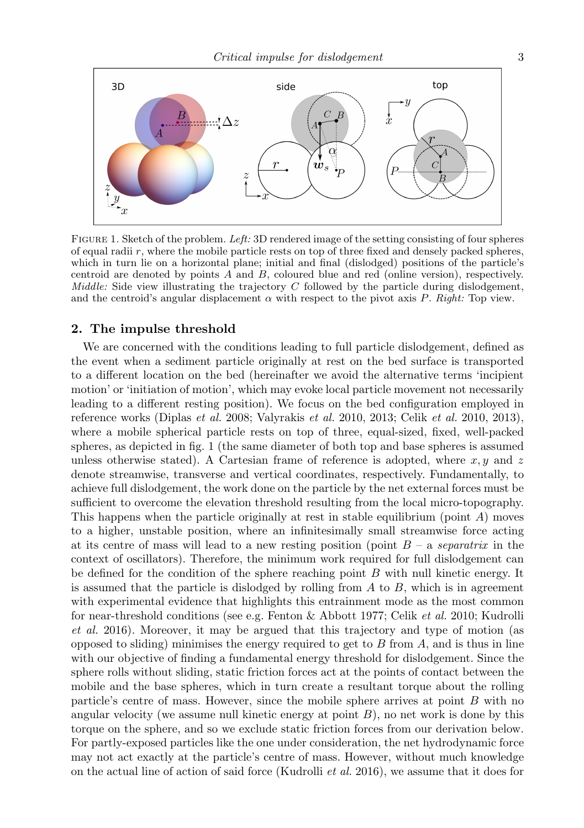

Figure 1. Sketch of the problem. Left: 3D rendered image of the setting consisting of four spheres of equal radii  $r$ , where the mobile particle rests on top of three fixed and densely packed spheres, which in turn lie on a horizontal plane; initial and final (dislodged) positions of the particle's centroid are denoted by points A and B, coloured blue and red (online version), respectively. Middle: Side view illustrating the trajectory  $C$  followed by the particle during dislodgement, and the centroid's angular displacement  $\alpha$  with respect to the pivot axis P. Right: Top view.

#### 2. The impulse threshold

We are concerned with the conditions leading to full particle dislodgement, defined as the event when a sediment particle originally at rest on the bed surface is transported to a different location on the bed (hereinafter we avoid the alternative terms 'incipient motion' or 'initiation of motion', which may evoke local particle movement not necessarily leading to a different resting position). We focus on the bed configuration employed in reference works (Diplas et al. 2008; Valyrakis et al. 2010, 2013; Celik et al. 2010, 2013), where a mobile spherical particle rests on top of three, equal-sized, fixed, well-packed spheres, as depicted in fig. 1 (the same diameter of both top and base spheres is assumed unless otherwise stated). A Cartesian frame of reference is adopted, where  $x, y$  and z denote streamwise, transverse and vertical coordinates, respectively. Fundamentally, to achieve full dislodgement, the work done on the particle by the net external forces must be sufficient to overcome the elevation threshold resulting from the local micro-topography. This happens when the particle originally at rest in stable equilibrium (point  $A$ ) moves to a higher, unstable position, where an infinitesimally small streamwise force acting at its centre of mass will lead to a new resting position (point  $B - a$  separatrix in the context of oscillators). Therefore, the minimum work required for full dislodgement can be defined for the condition of the sphere reaching point  $B$  with null kinetic energy. It is assumed that the particle is dislodged by rolling from  $A$  to  $B$ , which is in agreement with experimental evidence that highlights this entrainment mode as the most common for near-threshold conditions (see e.g. Fenton & Abbott 1977; Celik et al. 2010; Kudrolli et al. 2016). Moreover, it may be argued that this trajectory and type of motion (as opposed to sliding) minimises the energy required to get to  $B$  from  $A$ , and is thus in line with our objective of finding a fundamental energy threshold for dislodgement. Since the sphere rolls without sliding, static friction forces act at the points of contact between the mobile and the base spheres, which in turn create a resultant torque about the rolling particle's centre of mass. However, since the mobile sphere arrives at point B with no angular velocity (we assume null kinetic energy at point  $B$ ), no net work is done by this torque on the sphere, and so we exclude static friction forces from our derivation below. For partly-exposed particles like the one under consideration, the net hydrodynamic force may not act exactly at the particle's centre of mass. However, without much knowledge on the actual line of action of said force (Kudrolli *et al.* 2016), we assume that it does for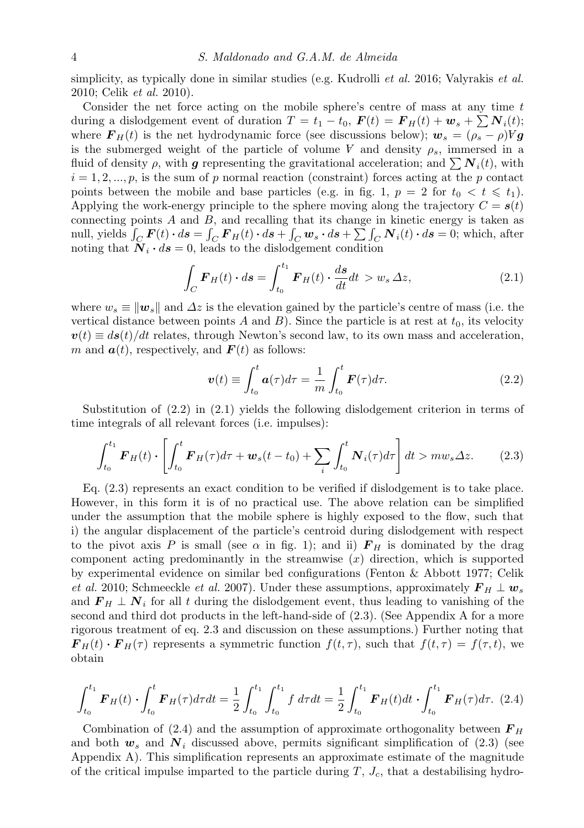simplicity, as typically done in similar studies (e.g. Kudrolli *et al.* 2016; Valyrakis *et al.* 2010; Celik et al. 2010).

Consider the net force acting on the mobile sphere's centre of mass at any time  $t$ during a dislodgement event of duration  $T = t_1 - t_0$ ,  $\boldsymbol{F}(t) = \boldsymbol{F}_H(t) + \boldsymbol{w}_s + \sum \boldsymbol{N}_i(t);$ where  $\boldsymbol{F}_H(t)$  is the net hydrodynamic force (see discussions below);  $\boldsymbol{w}_s = (\rho_s - \rho) V \boldsymbol{g}$ is the submerged weight of the particle of volume V and density  $\rho_s$ , immersed in a fluid of density  $\rho$ , with g representing the gravitational acceleration; and  $\sum N_i(t)$ , with  $i = 1, 2, ..., p$ , is the sum of p normal reaction (constraint) forces acting at the p contact points between the mobile and base particles (e.g. in fig. 1,  $p = 2$  for  $t_0 < t \leq t_1$ ). Applying the work-energy principle to the sphere moving along the trajectory  $C = s(t)$ connecting points  $A$  and  $B$ , and recalling that its change in kinetic energy is taken as null, yields  $\int_C \bm{F}(t) \cdot d\bm{s} = \int_C \bm{F}_H(t) \cdot d\bm{s} + \int_C \bm{w}_s \cdot d\bm{s} + \sum_i \int_C \bm{N}_i(t) \cdot d\bm{s} = 0$ ; which, after noting that  $N_i \cdot ds = 0$ , leads to the dislodgement condition

$$
\int_C \boldsymbol{F}_H(t) \cdot d\boldsymbol{s} = \int_{t_0}^{t_1} \boldsymbol{F}_H(t) \cdot \frac{d\boldsymbol{s}}{dt} dt > w_s \, \Delta z,\tag{2.1}
$$

where  $w_s \equiv ||\boldsymbol{w}_s||$  and  $\Delta z$  is the elevation gained by the particle's centre of mass (i.e. the vertical distance between points A and B). Since the particle is at rest at  $t_0$ , its velocity  $v(t) \equiv ds(t)/dt$  relates, through Newton's second law, to its own mass and acceleration, m and  $a(t)$ , respectively, and  $F(t)$  as follows:

$$
\boldsymbol{v}(t) \equiv \int_{t_0}^t \boldsymbol{a}(\tau) d\tau = \frac{1}{m} \int_{t_0}^t \boldsymbol{F}(\tau) d\tau.
$$
 (2.2)

Substitution of  $(2.2)$  in  $(2.1)$  yields the following dislodgement criterion in terms of time integrals of all relevant forces (i.e. impulses):

$$
\int_{t_0}^{t_1} \boldsymbol{F}_H(t) \cdot \left[ \int_{t_0}^t \boldsymbol{F}_H(\tau) d\tau + \boldsymbol{w}_s(t - t_0) + \sum_i \int_{t_0}^t \boldsymbol{N}_i(\tau) d\tau \right] dt > m w_s \Delta z.
$$
 (2.3)

Eq. (2.3) represents an exact condition to be verified if dislodgement is to take place. However, in this form it is of no practical use. The above relation can be simplified under the assumption that the mobile sphere is highly exposed to the flow, such that i) the angular displacement of the particle's centroid during dislodgement with respect to the pivot axis P is small (see  $\alpha$  in fig. 1); and ii)  $\mathbf{F}_H$  is dominated by the drag component acting predominantly in the streamwise  $(x)$  direction, which is supported by experimental evidence on similar bed configurations (Fenton & Abbott 1977; Celik et al. 2010; Schmeeckle et al. 2007). Under these assumptions, approximately  $\boldsymbol{F}_H \perp \boldsymbol{w}_s$ and  $\mathbf{F}_H \perp \mathbf{N}_i$  for all t during the dislodgement event, thus leading to vanishing of the second and third dot products in the left-hand-side of (2.3). (See Appendix A for a more rigorous treatment of eq. 2.3 and discussion on these assumptions.) Further noting that  $\mathbf{F}_H(t) \cdot \mathbf{F}_H(\tau)$  represents a symmetric function  $f(t,\tau)$ , such that  $f(t,\tau) = f(\tau,t)$ , we obtain

$$
\int_{t_0}^{t_1} \mathbf{F}_H(t) \cdot \int_{t_0}^t \mathbf{F}_H(\tau) d\tau dt = \frac{1}{2} \int_{t_0}^{t_1} \int_{t_0}^{t_1} f d\tau dt = \frac{1}{2} \int_{t_0}^{t_1} \mathbf{F}_H(t) dt \cdot \int_{t_0}^{t_1} \mathbf{F}_H(\tau) d\tau. \tag{2.4}
$$

Combination of (2.4) and the assumption of approximate orthogonality between  $\mathbf{F}_H$ and both  $w_s$  and  $N_i$  discussed above, permits significant simplification of (2.3) (see Appendix A). This simplification represents an approximate estimate of the magnitude of the critical impulse imparted to the particle during  $T, J_c$ , that a destabilising hydro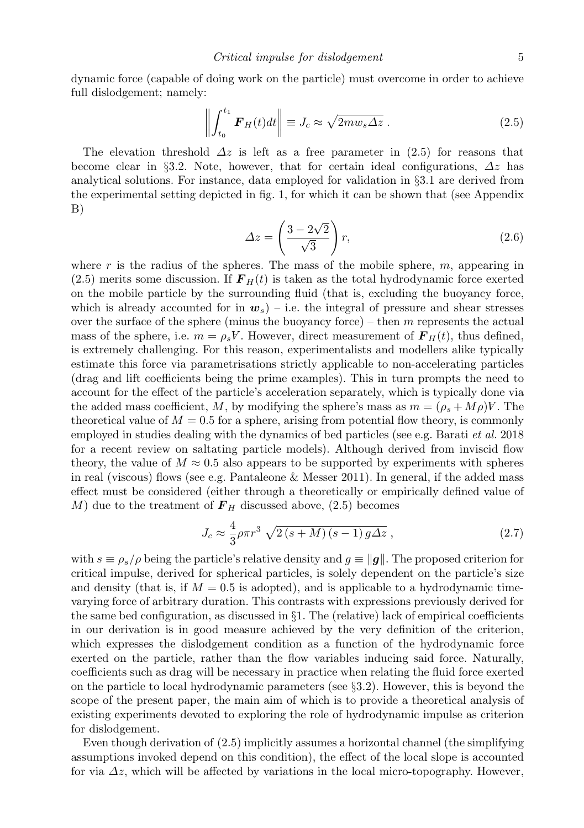dynamic force (capable of doing work on the particle) must overcome in order to achieve full dislodgement; namely:

$$
\left\| \int_{t_0}^{t_1} \boldsymbol{F}_H(t) dt \right\| \equiv J_c \approx \sqrt{2m w_s \Delta z} . \tag{2.5}
$$

The elevation threshold  $\Delta z$  is left as a free parameter in (2.5) for reasons that become clear in §3.2. Note, however, that for certain ideal configurations,  $\Delta z$  has analytical solutions. For instance, data employed for validation in §3.1 are derived from the experimental setting depicted in fig. 1, for which it can be shown that (see Appendix B)

$$
\Delta z = \left(\frac{3 - 2\sqrt{2}}{\sqrt{3}}\right)r,\tag{2.6}
$$

where r is the radius of the spheres. The mass of the mobile sphere,  $m$ , appearing in (2.5) merits some discussion. If  $\mathbf{F}_H(t)$  is taken as the total hydrodynamic force exerted on the mobile particle by the surrounding fluid (that is, excluding the buoyancy force, which is already accounted for in  $w_s$ ) – i.e. the integral of pressure and shear stresses over the surface of the sphere (minus the buoyancy force) – then  $m$  represents the actual mass of the sphere, i.e.  $m = \rho_s V$ . However, direct measurement of  $\boldsymbol{F}_H(t)$ , thus defined, is extremely challenging. For this reason, experimentalists and modellers alike typically estimate this force via parametrisations strictly applicable to non-accelerating particles (drag and lift coefficients being the prime examples). This in turn prompts the need to account for the effect of the particle's acceleration separately, which is typically done via the added mass coefficient, M, by modifying the sphere's mass as  $m = (\rho_s + M\rho)V$ . The theoretical value of  $M = 0.5$  for a sphere, arising from potential flow theory, is commonly employed in studies dealing with the dynamics of bed particles (see e.g. Barati et al. 2018 for a recent review on saltating particle models). Although derived from inviscid flow theory, the value of  $M \approx 0.5$  also appears to be supported by experiments with spheres in real (viscous) flows (see e.g. Pantaleone & Messer 2011). In general, if the added mass effect must be considered (either through a theoretically or empirically defined value of M) due to the treatment of  $F_H$  discussed above, (2.5) becomes

$$
J_c \approx \frac{4}{3} \rho \pi r^3 \sqrt{2\left(s+M\right)\left(s-1\right)g\Delta z} \,,\tag{2.7}
$$

with  $s \equiv \rho_s/\rho$  being the particle's relative density and  $g \equiv ||g||$ . The proposed criterion for critical impulse, derived for spherical particles, is solely dependent on the particle's size and density (that is, if  $M = 0.5$  is adopted), and is applicable to a hydrodynamic timevarying force of arbitrary duration. This contrasts with expressions previously derived for the same bed configuration, as discussed in §1. The (relative) lack of empirical coefficients in our derivation is in good measure achieved by the very definition of the criterion, which expresses the dislodgement condition as a function of the hydrodynamic force exerted on the particle, rather than the flow variables inducing said force. Naturally, coefficients such as drag will be necessary in practice when relating the fluid force exerted on the particle to local hydrodynamic parameters (see §3.2). However, this is beyond the scope of the present paper, the main aim of which is to provide a theoretical analysis of existing experiments devoted to exploring the role of hydrodynamic impulse as criterion for dislodgement.

Even though derivation of (2.5) implicitly assumes a horizontal channel (the simplifying assumptions invoked depend on this condition), the effect of the local slope is accounted for via  $\Delta z$ , which will be affected by variations in the local micro-topography. However,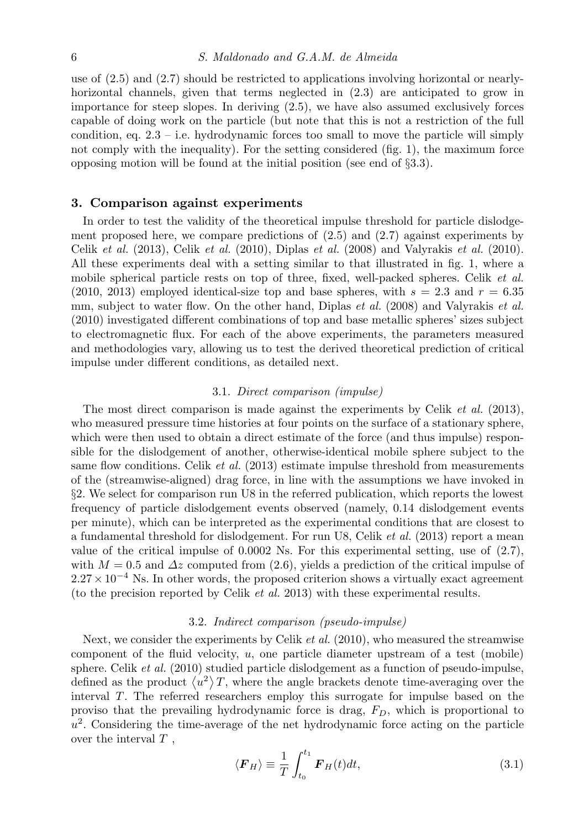use of (2.5) and (2.7) should be restricted to applications involving horizontal or nearlyhorizontal channels, given that terms neglected in  $(2.3)$  are anticipated to grow in importance for steep slopes. In deriving (2.5), we have also assumed exclusively forces capable of doing work on the particle (but note that this is not a restriction of the full condition, eq.  $2.3$  – i.e. hydrodynamic forces too small to move the particle will simply not comply with the inequality). For the setting considered (fig. 1), the maximum force opposing motion will be found at the initial position (see end of §3.3).

#### 3. Comparison against experiments

In order to test the validity of the theoretical impulse threshold for particle dislodgement proposed here, we compare predictions of (2.5) and (2.7) against experiments by Celik et al.  $(2013)$ , Celik et al.  $(2010)$ , Diplas et al.  $(2008)$  and Valyrakis et al.  $(2010)$ . All these experiments deal with a setting similar to that illustrated in fig. 1, where a mobile spherical particle rests on top of three, fixed, well-packed spheres. Celik *et al.* (2010, 2013) employed identical-size top and base spheres, with  $s = 2.3$  and  $r = 6.35$ mm, subject to water flow. On the other hand, Diplas *et al.* (2008) and Valyrakis *et al.* (2010) investigated different combinations of top and base metallic spheres' sizes subject to electromagnetic flux. For each of the above experiments, the parameters measured and methodologies vary, allowing us to test the derived theoretical prediction of critical impulse under different conditions, as detailed next.

#### 3.1. Direct comparison (impulse)

The most direct comparison is made against the experiments by Celik *et al.* (2013), who measured pressure time histories at four points on the surface of a stationary sphere, which were then used to obtain a direct estimate of the force (and thus impulse) responsible for the dislodgement of another, otherwise-identical mobile sphere subject to the same flow conditions. Celik *et al.*  $(2013)$  estimate impulse threshold from measurements of the (streamwise-aligned) drag force, in line with the assumptions we have invoked in §2. We select for comparison run U8 in the referred publication, which reports the lowest frequency of particle dislodgement events observed (namely, 0.14 dislodgement events per minute), which can be interpreted as the experimental conditions that are closest to a fundamental threshold for dislodgement. For run U8, Celik et al. (2013) report a mean value of the critical impulse of  $0.0002$  Ns. For this experimental setting, use of  $(2.7)$ , with  $M = 0.5$  and  $\Delta z$  computed from (2.6), yields a prediction of the critical impulse of  $2.27 \times 10^{-4}$  Ns. In other words, the proposed criterion shows a virtually exact agreement (to the precision reported by Celik et al. 2013) with these experimental results.

#### 3.2. Indirect comparison (pseudo-impulse)

Next, we consider the experiments by Celik *et al.* (2010), who measured the streamwise component of the fluid velocity, u, one particle diameter upstream of a test (mobile) sphere. Celik et al. (2010) studied particle dislodgement as a function of pseudo-impulse, defined as the product  $\langle u^2 \rangle T$ , where the angle brackets denote time-averaging over the interval T. The referred researchers employ this surrogate for impulse based on the proviso that the prevailing hydrodynamic force is drag,  $F<sub>D</sub>$ , which is proportional to  $u<sup>2</sup>$ . Considering the time-average of the net hydrodynamic force acting on the particle over the interval  $T$ ,

$$
\langle \boldsymbol{F}_H \rangle \equiv \frac{1}{T} \int_{t_0}^{t_1} \boldsymbol{F}_H(t) dt, \tag{3.1}
$$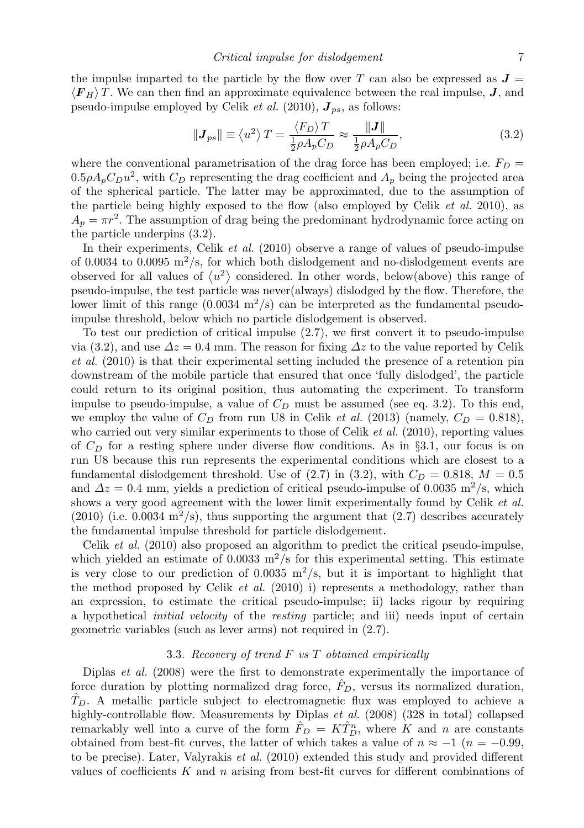the impulse imparted to the particle by the flow over T can also be expressed as  $J =$  $\langle F_H \rangle T$ . We can then find an approximate equivalence between the real impulse, J, and pseudo-impulse employed by Celik et al. (2010),  $J_{ps}$ , as follows:

$$
\|\mathbf{J}_{ps}\| \equiv \langle u^2 \rangle T = \frac{\langle F_D \rangle T}{\frac{1}{2} \rho A_p C_D} \approx \frac{\|\mathbf{J}\|}{\frac{1}{2} \rho A_p C_D},\tag{3.2}
$$

where the conventional parametrisation of the drag force has been employed; i.e.  $F_D =$  $0.5\rho A_p C_D u^2$ , with  $C_D$  representing the drag coefficient and  $A_p$  being the projected area of the spherical particle. The latter may be approximated, due to the assumption of the particle being highly exposed to the flow (also employed by Celik *et al.* 2010), as  $A_p = \pi r^2$ . The assumption of drag being the predominant hydrodynamic force acting on the particle underpins (3.2).

In their experiments, Celik *et al.* (2010) observe a range of values of pseudo-impulse of 0.0034 to 0.0095  $\mathrm{m}^2/\mathrm{s}$ , for which both dislodgement and no-dislodgement events are observed for all values of  $\langle u^2 \rangle$  considered. In other words, below(above) this range of pseudo-impulse, the test particle was never(always) dislodged by the flow. Therefore, the lower limit of this range  $(0.0034 \text{ m}^2/\text{s})$  can be interpreted as the fundamental pseudoimpulse threshold, below which no particle dislodgement is observed.

To test our prediction of critical impulse (2.7), we first convert it to pseudo-impulse via (3.2), and use  $\Delta z = 0.4$  mm. The reason for fixing  $\Delta z$  to the value reported by Celik et al. (2010) is that their experimental setting included the presence of a retention pin downstream of the mobile particle that ensured that once 'fully dislodged', the particle could return to its original position, thus automating the experiment. To transform impulse to pseudo-impulse, a value of  $C_D$  must be assumed (see eq. 3.2). To this end, we employ the value of  $C_D$  from run U8 in Celik *et al.* (2013) (namely,  $C_D = 0.818$ ), who carried out very similar experiments to those of Celik *et al.* (2010), reporting values of  $C_D$  for a resting sphere under diverse flow conditions. As in §3.1, our focus is on run U8 because this run represents the experimental conditions which are closest to a fundamental dislodgement threshold. Use of (2.7) in (3.2), with  $C_D = 0.818$ ,  $M = 0.5$ and  $\Delta z = 0.4$  mm, yields a prediction of critical pseudo-impulse of 0.0035 m<sup>2</sup>/s, which shows a very good agreement with the lower limit experimentally found by Celik et al.  $(2010)$  (i.e. 0.0034 m<sup>2</sup>/s), thus supporting the argument that  $(2.7)$  describes accurately the fundamental impulse threshold for particle dislodgement.

Celik et al. (2010) also proposed an algorithm to predict the critical pseudo-impulse, which yielded an estimate of 0.0033  $m^2/s$  for this experimental setting. This estimate is very close to our prediction of 0.0035  $\mathrm{m}^2/\mathrm{s}$ , but it is important to highlight that the method proposed by Celik *et al.* (2010) i) represents a methodology, rather than an expression, to estimate the critical pseudo-impulse; ii) lacks rigour by requiring a hypothetical initial velocity of the resting particle; and iii) needs input of certain geometric variables (such as lever arms) not required in (2.7).

#### 3.3. Recovery of trend F vs T obtained empirically

Diplas et al. (2008) were the first to demonstrate experimentally the importance of force duration by plotting normalized drag force,  $\ddot{F}_D$ , versus its normalized duration,  $T<sub>D</sub>$ . A metallic particle subject to electromagnetic flux was employed to achieve a highly-controllable flow. Measurements by Diplas *et al.* (2008) (328 in total) collapsed remarkably well into a curve of the form  $\hat{F}_D = K\hat{T}_D^n$ , where K and n are constants obtained from best-fit curves, the latter of which takes a value of  $n \approx -1$  ( $n = -0.99$ , to be precise). Later, Valyrakis et al. (2010) extended this study and provided different values of coefficients  $K$  and  $n$  arising from best-fit curves for different combinations of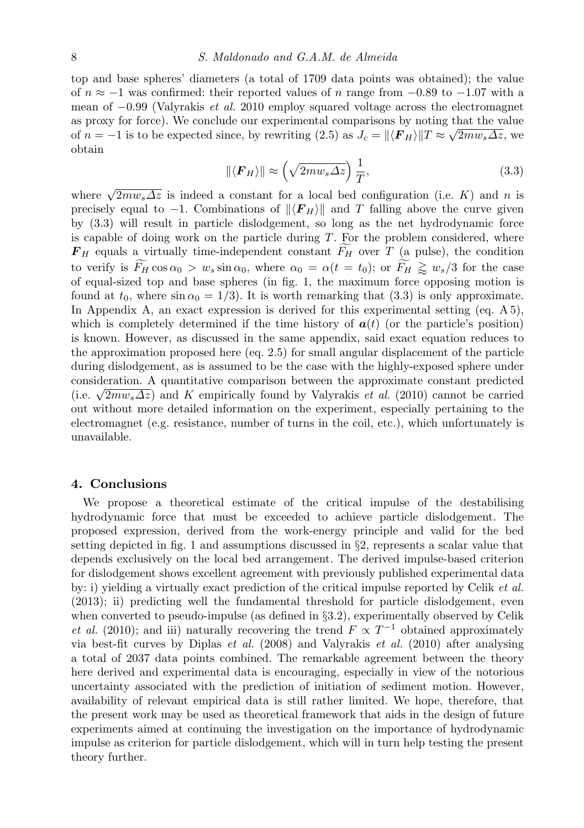top and base spheres' diameters (a total of 1709 data points was obtained); the value of  $n \approx -1$  was confirmed: their reported values of n range from  $-0.89$  to  $-1.07$  with a mean of −0.99 (Valyrakis et al. 2010 employ squared voltage across the electromagnet as proxy for force). We conclude our experimental comparisons by noting that the value of  $n = -1$  is to be expected since, by rewriting (2.5) as  $J_c = ||\langle \mathbf{F}_H \rangle|| \to \sqrt{2m w_s \Delta z}$ , we obtain

$$
\|\langle \boldsymbol{F}_H \rangle\| \approx \left(\sqrt{2m w_s \Delta z}\right) \frac{1}{T},\tag{3.3}
$$

where  $\sqrt{2m w_s \Delta z}$  is indeed a constant for a local bed configuration (i.e. K) and n is precisely equal to  $-1$ . Combinations of  $\|\langle \mathbf{F}_H \rangle\|$  and T falling above the curve given by (3.3) will result in particle dislodgement, so long as the net hydrodynamic force is capable of doing work on the particle during  $T$ . For the problem considered, where  $\mathbf{F}_H$  equals a virtually time-independent constant  $F_H$  over T (a pulse), the condition to verify is  $\widetilde{F}_H \cos \alpha_0 > w_s \sin \alpha_0$ , where  $\alpha_0 = \alpha(t = t_0)$ ; or  $F_H \gtrapprox w_s/3$  for the case of equal-sized top and base spheres (in fig. 1, the maximum force opposing motion is found at  $t_0$ , where  $\sin \alpha_0 = 1/3$ . It is worth remarking that (3.3) is only approximate. In Appendix A, an exact expression is derived for this experimental setting (eq. A 5), which is completely determined if the time history of  $a(t)$  (or the particle's position) is known. However, as discussed in the same appendix, said exact equation reduces to the approximation proposed here (eq. 2.5) for small angular displacement of the particle during dislodgement, as is assumed to be the case with the highly-exposed sphere under consideration. A quantitative comparison between the approximate constant predicted (i.e.  $\sqrt{2m w_s \Delta z}$ ) and K empirically found by Valyrakis *et al.* (2010) cannot be carried out without more detailed information on the experiment, especially pertaining to the electromagnet (e.g. resistance, number of turns in the coil, etc.), which unfortunately is unavailable.

#### 4. Conclusions

We propose a theoretical estimate of the critical impulse of the destabilising hydrodynamic force that must be exceeded to achieve particle dislodgement. The proposed expression, derived from the work-energy principle and valid for the bed setting depicted in fig. 1 and assumptions discussed in  $\S$ 2, represents a scalar value that depends exclusively on the local bed arrangement. The derived impulse-based criterion for dislodgement shows excellent agreement with previously published experimental data by: i) yielding a virtually exact prediction of the critical impulse reported by Celik *et al.* (2013); ii) predicting well the fundamental threshold for particle dislodgement, even when converted to pseudo-impulse (as defined in §3.2), experimentally observed by Celik *et al.* (2010); and iii) naturally recovering the trend  $F \propto T^{-1}$  obtained approximately via best-fit curves by Diplas et al. (2008) and Valyrakis et al. (2010) after analysing a total of 2037 data points combined. The remarkable agreement between the theory here derived and experimental data is encouraging, especially in view of the notorious uncertainty associated with the prediction of initiation of sediment motion. However, availability of relevant empirical data is still rather limited. We hope, therefore, that the present work may be used as theoretical framework that aids in the design of future experiments aimed at continuing the investigation on the importance of hydrodynamic impulse as criterion for particle dislodgement, which will in turn help testing the present theory further.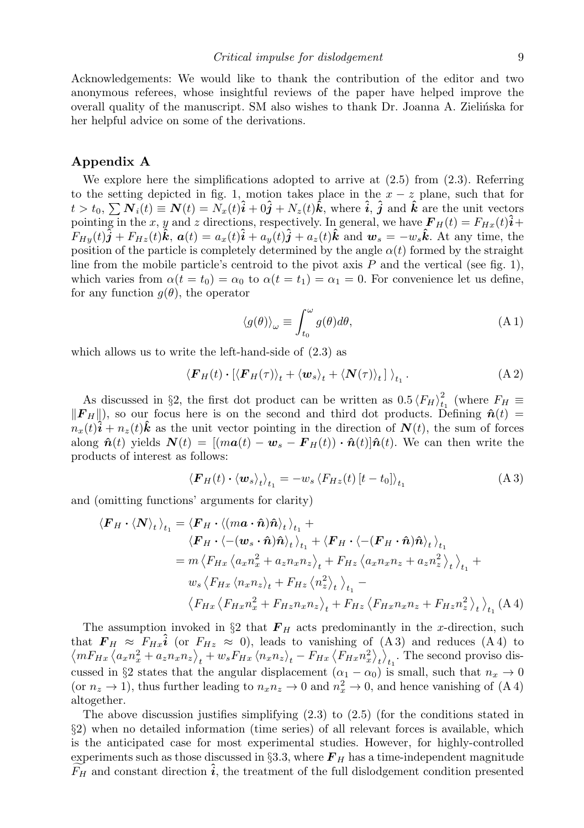Acknowledgements: We would like to thank the contribution of the editor and two anonymous referees, whose insightful reviews of the paper have helped improve the overall quality of the manuscript. SM also wishes to thank Dr. Joanna A. Zielińska for her helpful advice on some of the derivations.

#### Appendix A

We explore here the simplifications adopted to arrive at (2.5) from (2.3). Referring to the setting depicted in fig. 1, motion takes place in the  $x - z$  plane, such that for  $t > t_0$ ,  $\sum \mathbf{N}_i(t) \equiv \mathbf{N}(t) = N_x(t)\hat{i} + 0\hat{j} + N_z(t)\hat{k}$ , where  $\hat{i}$ ,  $\hat{j}$  and  $\hat{k}$  are the unit vectors pointing in the x, y and z directions, respectively. In general, we have  $\mathbf{F}_H(t) = F_{Hx}(t)\hat{i}+$  $F_{Hy}(t)\hat{j} + F_{Hz}(t)\hat{k}$ ,  $a(t) = a_x(t)\hat{i} + a_y(t)\hat{j} + a_z(t)\hat{k}$  and  $w_s = -w_s\hat{k}$ . At any time, the position of the particle is completely determined by the angle  $\alpha(t)$  formed by the straight line from the mobile particle's centroid to the pivot axis  $P$  and the vertical (see fig. 1), which varies from  $\alpha(t = t_0) = \alpha_0$  to  $\alpha(t = t_1) = \alpha_1 = 0$ . For convenience let us define, for any function  $g(\theta)$ , the operator

$$
\langle g(\theta) \rangle_{\omega} \equiv \int_{t_0}^{\omega} g(\theta) d\theta, \tag{A.1}
$$

which allows us to write the left-hand-side of (2.3) as

$$
\langle \boldsymbol{F}_H(t) \cdot [\langle \boldsymbol{F}_H(\tau) \rangle_t + \langle \boldsymbol{w}_s \rangle_t + \langle \boldsymbol{N}(\tau) \rangle_t ] \rangle_{t_1}.
$$
 (A 2)

As discussed in §2, the first dot product can be written as  $0.5 \langle F_H \rangle_{t_1}^2$  (where  $F_H \equiv$  $\|F_H\|$ , so our focus here is on the second and third dot products. Defining  $\hat{\boldsymbol{n}}(t)$  =  $n_x(t)\hat{i} + n_z(t)\hat{k}$  as the unit vector pointing in the direction of  $N(t)$ , the sum of forces along  $\hat{\mathbf{n}}(t)$  yields  $\mathbf{N}(t) = [(m\mathbf{a}(t) - \mathbf{w}_s - \mathbf{F}_H(t)) \cdot \hat{\mathbf{n}}(t)] \hat{\mathbf{n}}(t)$ . We can then write the products of interest as follows:

$$
\left\langle \boldsymbol{F}_{H}(t) \cdot \left\langle \boldsymbol{w}_{s} \right\rangle_{t} \right\rangle_{t_{1}} = -w_{s} \left\langle F_{Hz}(t) \left[ t - t_{0} \right] \right\rangle_{t_{1}} \tag{A.3}
$$

and (omitting functions' arguments for clarity)

$$
\langle \mathbf{F}_{H} \cdot \langle \mathbf{N} \rangle_{t} \rangle_{t_{1}} = \langle \mathbf{F}_{H} \cdot \langle (m\mathbf{a} \cdot \hat{\mathbf{n}}) \hat{\mathbf{n}} \rangle_{t} \rangle_{t_{1}} +
$$
\n
$$
\langle \mathbf{F}_{H} \cdot \langle -(\mathbf{w}_{s} \cdot \hat{\mathbf{n}}) \hat{\mathbf{n}} \rangle_{t} \rangle_{t_{1}} + \langle \mathbf{F}_{H} \cdot \langle -(\mathbf{F}_{H} \cdot \hat{\mathbf{n}}) \hat{\mathbf{n}} \rangle_{t} \rangle_{t_{1}}
$$
\n
$$
= m \langle F_{Hx} \langle a_{x} n_{x}^{2} + a_{z} n_{x} n_{z} \rangle_{t} + F_{Hz} \langle a_{x} n_{x} n_{z} + a_{z} n_{z}^{2} \rangle_{t} \rangle_{t_{1}} +
$$
\n
$$
w_{s} \langle F_{Hx} \langle n_{x} n_{z} \rangle_{t} + F_{Hz} \langle n_{z}^{2} \rangle_{t} \rangle_{t_{1}} -
$$
\n
$$
\langle F_{Hx} \langle F_{Hx} n_{x}^{2} + F_{Hz} n_{x} n_{z} \rangle_{t} + F_{Hz} \langle F_{Hx} n_{x} n_{z} + F_{Hz} n_{z}^{2} \rangle_{t} \rangle_{t_{1}} (A 4)
$$

The assumption invoked in §2 that  $\mathbf{F}_H$  acts predominantly in the x-direction, such that  $\mathbf{F}_H \approx F_{Hx} \hat{i}$  (or  $F_{Hz} \approx 0$ ), leads to vanishing of (A 3) and reduces (A 4) to  $\langle mF_{Hx} \langle a_x n_x^2 + a_z n_x n_z \rangle_t + w_s F_{Hx} \langle n_x n_z \rangle_t - F_{Hx} \langle F_{Hx} n_x^2 \rangle_t \rangle_{t_1}$ . The second proviso discussed in §2 states that the angular displacement  $(\alpha_1 - \alpha_0)$  is small, such that  $n_x \to 0$ (or  $n_z \to 1$ ), thus further leading to  $n_x n_z \to 0$  and  $n_x^2 \to 0$ , and hence vanishing of (A 4) altogether.

The above discussion justifies simplifying  $(2.3)$  to  $(2.5)$  (for the conditions stated in §2) when no detailed information (time series) of all relevant forces is available, which is the anticipated case for most experimental studies. However, for highly-controlled experiments such as those discussed in §3.3, where  $\mathbf{F}_H$  has a time-independent magnitude  $F_H$  and constant direction  $\hat{i}$ , the treatment of the full dislodgement condition presented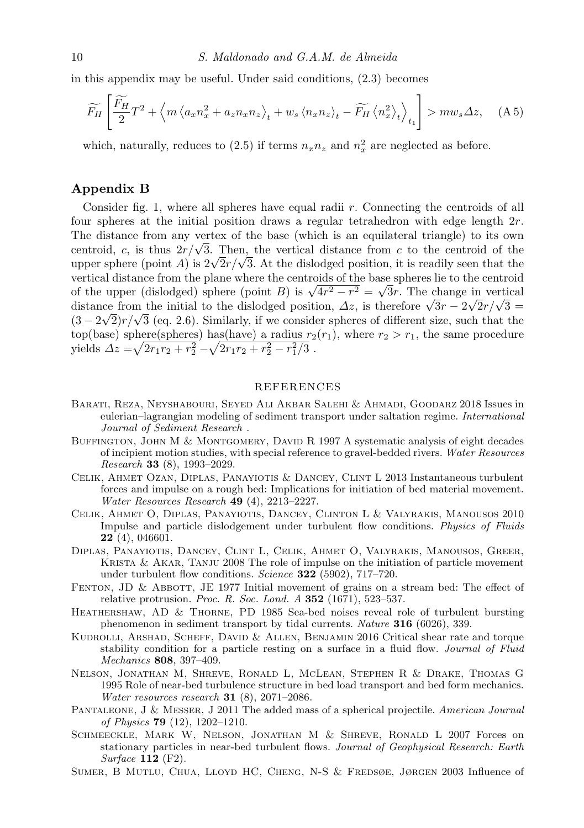in this appendix may be useful. Under said conditions, (2.3) becomes

$$
\widetilde{F_H}\left[\frac{\widetilde{F_H}}{2}T^2 + \left\langle m\left\langle a_x n_x^2 + a_z n_x n_z \right\rangle_t + w_s \left\langle n_x n_z \right\rangle_t - \widetilde{F_H}\left\langle n_x^2 \right\rangle_t \right\rangle_{t_1}\right] > mw_s \Delta z, \quad \text{(A 5)}
$$

which, naturally, reduces to  $(2.5)$  if terms  $n_x n_z$  and  $n_x^2$  are neglected as before.

## Appendix B

Consider fig. 1, where all spheres have equal radii  $r$ . Connecting the centroids of all four spheres at the initial position draws a regular tetrahedron with edge length 2r. The distance from any vertex of the base (which is an equilateral triangle) to its own The distance from any vertex of the base (which is an equilateral triangle) to its own<br>centroid, c, is thus  $2r/\sqrt{3}$ . Then, the vertical distance from c to the centroid of the centroid, c, is thus  $2r/\sqrt{3}$ . Then, the vertical distance from c to the centroid of the upper sphere (point A) is  $2\sqrt{2}r/\sqrt{3}$ . At the dislodged position, it is readily seen that the vertical distance from the plane where the centroids of the base spheres lie to the centroid vertical distance from the plane where the centroids of the base spheres he to the centroid<br>of the upper (dislodged) sphere (point B) is  $\sqrt{4r^2 - r^2} = \sqrt{3}r$ . The change in vertical of the upper (dislodged) sphere (point *B*) is  $\sqrt{4r^2 - r^2} = \sqrt{3r}$ . The change in vertical distance from the initial to the dislodged position,  $\Delta z$ , is therefore  $\sqrt{3}r - 2\sqrt{2}r/\sqrt{3} =$ distance from the finitial to the dislogued position,  $\Delta z$ , is therefore  $\sqrt{3}r - 2\sqrt{2}r/\sqrt{3} =$ <br> $(3 - 2\sqrt{2})r/\sqrt{3}$  (eq. 2.6). Similarly, if we consider spheres of different size, such that the top(base) sphere(spheres) has(have) a radius  $r_2(r_1)$ , where  $r_2 > r_1$ , the same procedure yields  $\Delta z = \sqrt{2r_1r_2 + r_2^2} - \sqrt{2r_1r_2 + r_2^2 - r_1^2/3}$ .

#### REFERENCES

- Barati, Reza, Neyshabouri, Seyed Ali Akbar Salehi & Ahmadi, Goodarz 2018 Issues in eulerian–lagrangian modeling of sediment transport under saltation regime. International Journal of Sediment Research .
- BUFFINGTON, JOHN M & MONTGOMERY, DAVID R 1997 A systematic analysis of eight decades of incipient motion studies, with special reference to gravel-bedded rivers. Water Resources Research 33 (8), 1993–2029.
- Celik, Ahmet Ozan, Diplas, Panayiotis & Dancey, Clint L 2013 Instantaneous turbulent forces and impulse on a rough bed: Implications for initiation of bed material movement. Water Resources Research 49 (4), 2213–2227.
- Celik, Ahmet O, Diplas, Panayiotis, Dancey, Clinton L & Valyrakis, Manousos 2010 Impulse and particle dislodgement under turbulent flow conditions. Physics of Fluids 22 (4), 046601.
- Diplas, Panayiotis, Dancey, Clint L, Celik, Ahmet O, Valyrakis, Manousos, Greer, KRISTA  $\&$  AKAR, TANJU 2008 The role of impulse on the initiation of particle movement under turbulent flow conditions. Science 322 (5902), 717-720.
- FENTON, JD & ABBOTT, JE 1977 Initial movement of grains on a stream bed: The effect of relative protrusion. Proc. R. Soc. Lond. A 352 (1671), 523–537.
- Heathershaw, AD & Thorne, PD 1985 Sea-bed noises reveal role of turbulent bursting phenomenon in sediment transport by tidal currents. Nature 316 (6026), 339.
- KUDROLLI, ARSHAD, SCHEFF, DAVID & ALLEN, BENJAMIN 2016 Critical shear rate and torque stability condition for a particle resting on a surface in a fluid flow. Journal of Fluid Mechanics 808, 397–409.
- Nelson, Jonathan M, Shreve, Ronald L, McLean, Stephen R & Drake, Thomas G 1995 Role of near-bed turbulence structure in bed load transport and bed form mechanics. *Water resources research* **31** (8), 2071–2086.
- PANTALEONE, J & MESSER, J 2011 The added mass of a spherical projectile. American Journal of Physics **79** (12), 1202–1210.
- Schmeeckle, Mark W, Nelson, Jonathan M & Shreve, Ronald L 2007 Forces on stationary particles in near-bed turbulent flows. Journal of Geophysical Research: Earth Surface 112 (F2).
- Sumer, B Mutlu, Chua, Lloyd HC, Cheng, N-S & Fredsøe, Jørgen 2003 Influence of